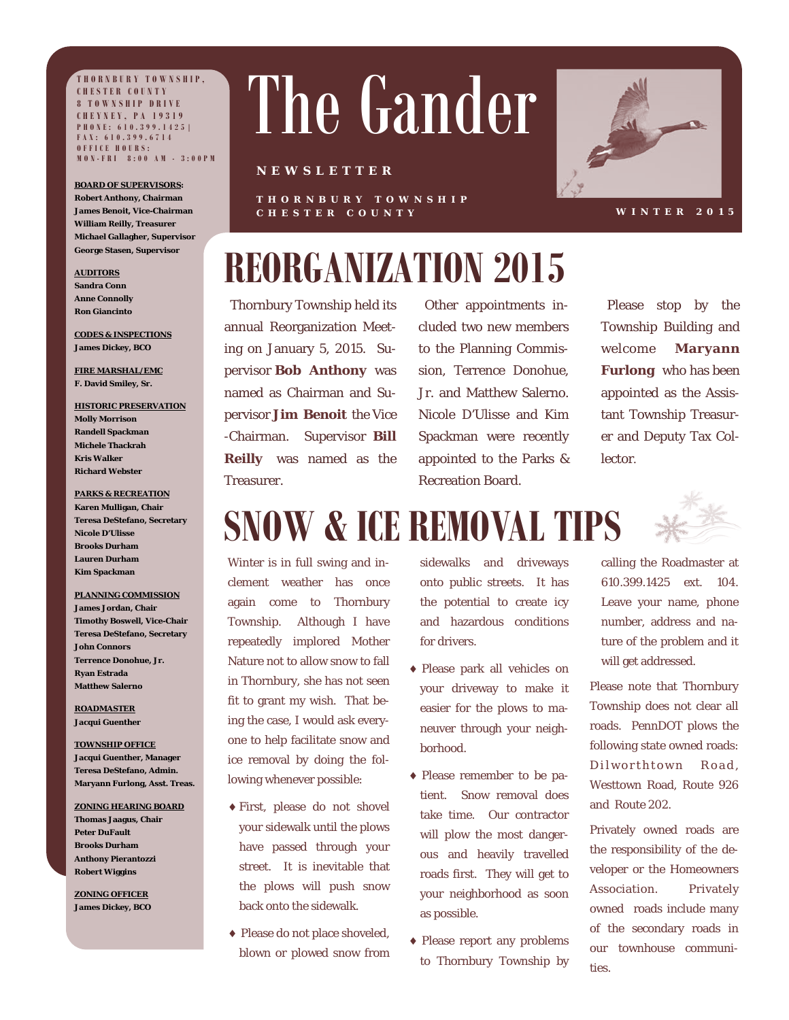**THORNBURY TOWNSHIP, CHESTER COUNTY 8 TOWNSHIP DRIVE CHEYNEY, PA 19319 PHONE: 610.399.1425| FAX: 610.399.6714 OFFICE HOURS: MON-FRI 8:00 AM - 3:00PM**

**BOARD OF SUPERVISORS: Robert Anthony, Chairman James Benoit, Vice-Chairman William Reilly, Treasurer Michael Gallagher, Supervisor** 

**George Stasen, Supervisor** 

**AUDITORS Sandra Conn Anne Connolly Ron Giancinto** 

**CODES & INSPECTIONS James Dickey, BCO** 

**FIRE MARSHAL/EMC F. David Smiley, Sr.** 

**HISTORIC PRESERVATION Molly Morrison Randell Spackman Michele Thackrah Kris Walker Richard Webster** 

**PARKS & RECREATION** 

**Karen Mulligan, Chair Teresa DeStefano, Secretary Nicole D'Ulisse Brooks Durham Lauren Durham Kim Spackman** 

**PLANNING COMMISSION James Jordan, Chair Timothy Boswell, Vice-Chair Teresa DeStefano, Secretary John Connors Terrence Donohue, Jr. Ryan Estrada Matthew Salerno** 

**ROADMASTER Jacqui Guenther** 

**TOWNSHIP OFFICE Jacqui Guenther, Manager Teresa DeStefano, Admin. Maryann Furlong, Asst. Treas.** 

**ZONING HEARING BOARD Thomas Jaagus, Chair Peter DuFault Brooks Durham Anthony Pierantozzi Robert Wiggins** 

**ZONING OFFICER James Dickey, BCO** 

# The Gander

#### **NEWSLETTER**

**THORNBURY TOWNSHIP CHESTER COUNTY** 



**WINTER 2015** 

# **REORGANIZATION 2015**

 Thornbury Township held its annual Reorganization Meeting on January 5, 2015. Supervisor **Bob Anthony** was named as Chairman and Supervisor **Jim Benoit** the Vice -Chairman. Supervisor **Bill Reilly** was named as the Treasurer.

 Other appointments included two new members to the Planning Commission, Terrence Donohue, Jr. and Matthew Salerno. Nicole D'Ulisse and Kim Spackman were recently appointed to the Parks & Recreation Board.

 Please stop by the Township Building and welcome **Maryann Furlong** who has been appointed as the Assistant Township Treasurer and Deputy Tax Collector.

# **SNOW & ICE REMOVAL TIPS**

Winter is in full swing and inclement weather has once again come to Thornbury Township. Although I have repeatedly implored Mother Nature not to allow snow to fall in Thornbury, she has not seen fit to grant my wish. That being the case, I would ask everyone to help facilitate snow and ice removal by doing the following whenever possible:

- First, please do not shovel your sidewalk until the plows have passed through your street. It is inevitable that the plows will push snow back onto the sidewalk.
- Please do not place shoveled, blown or plowed snow from

sidewalks and driveways onto public streets. It has the potential to create icy and hazardous conditions for drivers.

- Please park all vehicles on your driveway to make it easier for the plows to maneuver through your neighborhood.
- Please remember to be patient. Snow removal does take time. Our contractor will plow the most dangerous and heavily travelled roads first. They will get to your neighborhood as soon as possible.
- Please report any problems to Thornbury Township by

calling the Roadmaster at 610.399.1425 ext. 104. Leave your name, phone number, address and nature of the problem and it will get addressed.

Please note that Thornbury Township does not clear all roads. PennDOT plows the following state owned roads: Dilworthtown Road, Westtown Road, Route 926 and Route 202.

Privately owned roads are the responsibility of the developer or the Homeowners Association. Privately owned roads include many of the secondary roads in our townhouse communities.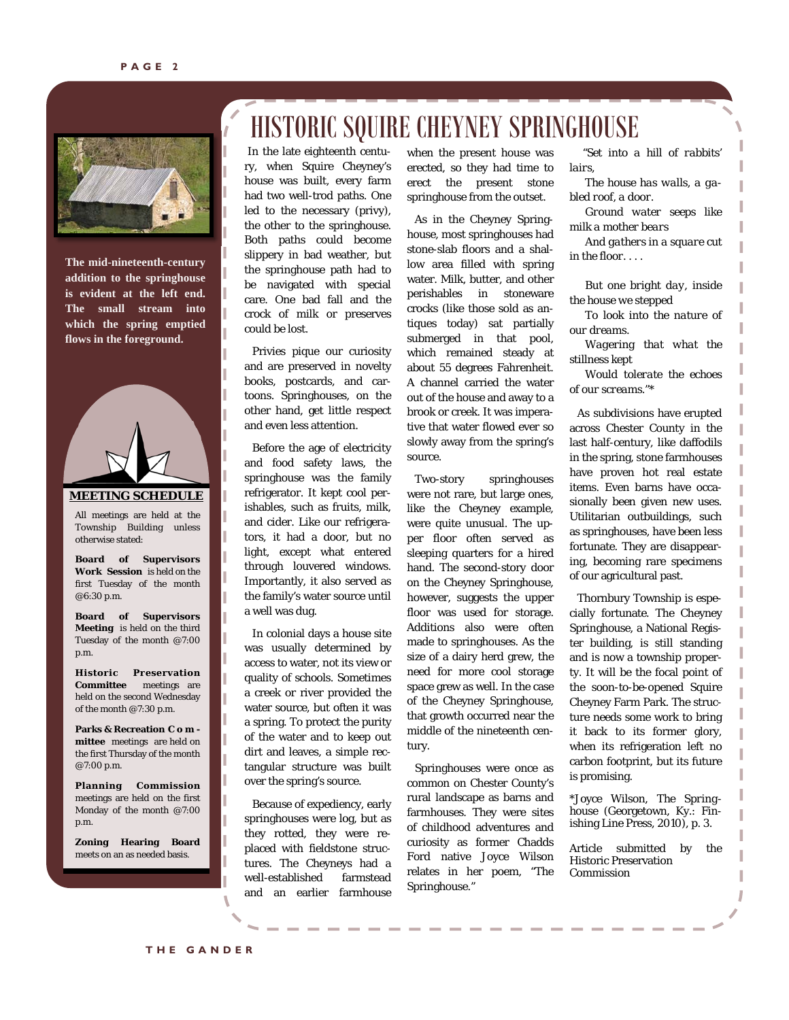

**The mid-nineteenth-century addition to the springhouse is evident at the left end. The small stream into which the spring emptied flows in the foreground.** 

#### **MEETING SCHEDULE**

 Township Building unless All meetings are held at the otherwise stated:

**Board of Supervisors Work Session** is held on the first Tuesday of the month @6:30 p.m.

**Board of Supervisors Meeting** is held on the third Tuesday of the month @7:00 p.m.

**Historic Preservation Committee** meetings are held on the second Wednesday of the month @7:30 p.m.

**Parks & Recreation C o m mittee** meetings are held on the first Thursday of the month @7:00 p.m.

**Planning Commission**  meetings are held on the first Monday of the month @7:00 p.m.

**Zoning Hearing Board** meets on an as needed basis.

## HISTORIC SQUIRE CHEYNEY SPRINGHOUSE

In the late eighteenth century, when Squire Cheyney's house was built, every farm had two well-trod paths. One led to the necessary (privy), the other to the springhouse. Both paths could become slippery in bad weather, but the springhouse path had to be navigated with special care. One bad fall and the crock of milk or preserves could be lost.

 Privies pique our curiosity and are preserved in novelty books, postcards, and cartoons. Springhouses, on the other hand, get little respect and even less attention.

 Before the age of electricity and food safety laws, the springhouse was the family refrigerator. It kept cool perishables, such as fruits, milk, and cider. Like our refrigerators, it had a door, but no light, except what entered through louvered windows. Importantly, it also served as the family's water source until a well was dug.

 In colonial days a house site was usually determined by access to water, not its view or quality of schools. Sometimes a creek or river provided the water source, but often it was a spring. To protect the purity of the water and to keep out dirt and leaves, a simple rectangular structure was built over the spring's source.

 Because of expediency, early springhouses were log, but as they rotted, they were replaced with fieldstone structures. The Cheyneys had a well-established farmstead and an earlier farmhouse when the present house was erected, so they had time to erect the present stone springhouse from the outset.

 As in the Cheyney Springhouse, most springhouses had stone-slab floors and a shallow area filled with spring water. Milk, butter, and other perishables in stoneware crocks (like those sold as antiques today) sat partially submerged in that pool, which remained steady at about 55 degrees Fahrenheit. A channel carried the water out of the house and away to a brook or creek. It was imperative that water flowed ever so slowly away from the spring's source.

 Two-story springhouses were not rare, but large ones, like the Cheyney example, were quite unusual. The upper floor often served as sleeping quarters for a hired hand. The second-story door on the Cheyney Springhouse, however, suggests the upper floor was used for storage. Additions also were often made to springhouses. As the size of a dairy herd grew, the need for more cool storage space grew as well. In the case of the Cheyney Springhouse, that growth occurred near the middle of the nineteenth century.

 Springhouses were once as common on Chester County's rural landscape as barns and farmhouses. They were sites of childhood adventures and curiosity as former Chadds Ford native Joyce Wilson relates in her poem, "The Springhouse."

 *"Set into a hill of rabbits' lairs,* 

 *The house has walls, a gabled roof, a door.* 

 *Ground water seeps like milk a mother bears* 

 *And gathers in a square cut in the floor. . . .* 

 *But one bright day, inside the house we stepped* 

 *To look into the nature of our dreams.* 

 *Wagering that what the stillness kept* 

 *Would tolerate the echoes of our screams."*\*

 As subdivisions have erupted across Chester County in the last half-century, like daffodils in the spring, stone farmhouses have proven hot real estate items. Even barns have occasionally been given new uses. Utilitarian outbuildings, such as springhouses, have been less fortunate. They are disappearing, becoming rare specimens of our agricultural past.

 Thornbury Township is especially fortunate. The Cheyney Springhouse, a National Register building, is still standing and is now a township property. It will be the focal point of the soon-to-be-opened Squire Cheyney Farm Park. The structure needs some work to bring it back to its former glory, when its refrigeration left no carbon footprint, but its future is promising.

\*Joyce Wilson, *The Springhouse* (Georgetown, Ky.: Finishing Line Press, 2010), p. 3.

Article submitted by the Historic Preservation Commission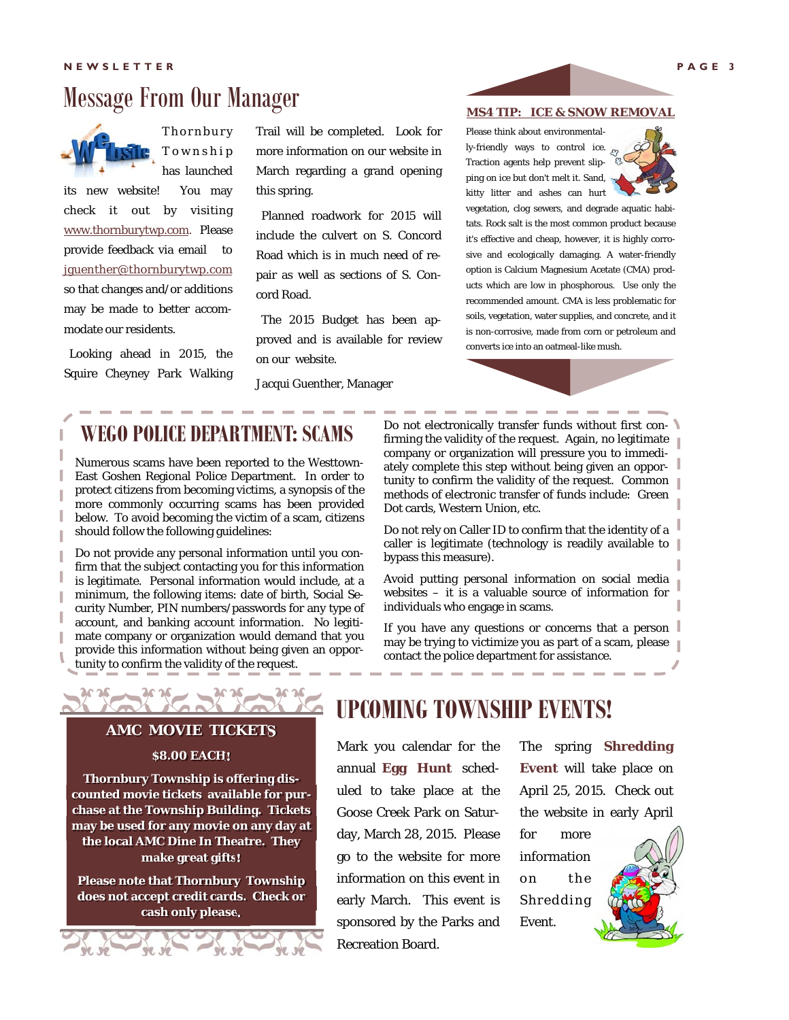## Message From Our Manager



**Thornbury** T o w n s h i p has launched

its new website! You may check it out by visiting www.thornburytwp.com. Please provide feedback via email to jguenther@thornburytwp.com so that changes and/or additions may be made to better accommodate our residents.

 Looking ahead in 2015, the Squire Cheyney Park Walking Trail will be completed. Look for more information on our website in March regarding a grand opening this spring.

 Planned roadwork for 2015 will include the culvert on S. Concord Road which is in much need of repair as well as sections of S. Concord Road.

 The 2015 Budget has been approved and is available for review on our website.

Jacqui Guenther, Manager

#### **MS4 TIP: ICE & SNOW REMOVAL**

Please think about environmentally-friendly ways to control ice. Traction agents help prevent slipping on ice but don't melt it. Sand, kitty litter and ashes can hurt



vegetation, clog sewers, and degrade aquatic habitats. Rock salt is the most common product because it's effective and cheap, however, it is highly corrosive and ecologically damaging. A water-friendly option is Calcium Magnesium Acetate (CMA) products which are low in phosphorous. Use only the recommended amount. CMA is less problematic for soils, vegetation, water supplies, and concrete, and it is non-corrosive, made from corn or petroleum and converts ice into an oatmeal-like mush.

### **WEGO POLICE DEPARTMENT: SCAMS**

Numerous scams have been reported to the Westtown-East Goshen Regional Police Department. In order to protect citizens from becoming victims, a synopsis of the more commonly occurring scams has been provided below. To avoid becoming the victim of a scam, citizens should follow the following guidelines:

Do not provide any personal information until you confirm that the subject contacting you for this information is legitimate. Personal information would include, at a minimum, the following items: date of birth, Social Security Number, PIN numbers/passwords for any type of account, and banking account information. No legitimate company or organization would demand that you provide this information without being given an opportunity to confirm the validity of the request.

Do not electronically transfer funds without first confirming the validity of the request. Again, no legitimate company or organization will pressure you to immediately complete this step without being given an opportunity to confirm the validity of the request. Common methods of electronic transfer of funds include: Green Dot cards, Western Union, etc.

Do not rely on Caller ID to confirm that the identity of a caller is legitimate (technology is readily available to bypass this measure).

Avoid putting personal information on social media websites – it is a valuable source of information for individuals who engage in scams.

If you have any questions or concerns that a person may be trying to victimize you as part of a scam, please contact the police department for assistance.

#### **AMC MOVIE TICKETS**

**IC IC** 

#### **\$8.00 EACH!**

**Thornbury Township is offering discounted movie tickets available for purchase at the Township Building. Tickets may be used for any movie on any day at the local AMC Dine In Theatre. They make great gifts!**

**Please note that Thornbury Township does not accept credit cards. Check or cash only please.**

**UPCOMING TOWNSHIP EVENTS!**

Mark you calendar for the annual **Egg Hunt** scheduled to take place at the Goose Creek Park on Saturday, March 28, 2015. Please go to the website for more information on this event in early March. This event is sponsored by the Parks and Recreation Board.

The spring **Shredding Event** will take place on April 25, 2015. Check out the website in early April

for more information on the Shredding Event.